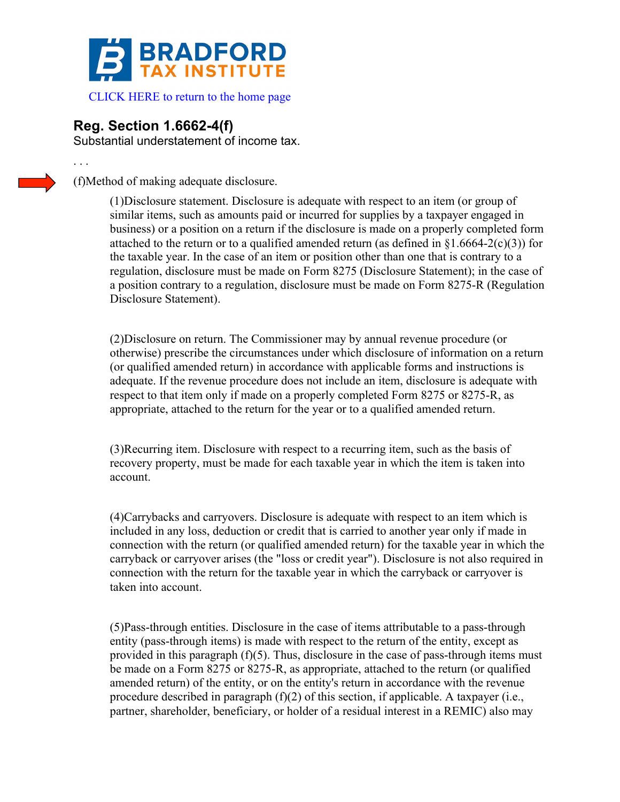

 [CLICK HERE to return to the home page](www.bradfordtaxinstitute.com) 

## **Reg. Section 1.6662-4(f)**

. . .

Substantial understatement of income tax.

(f)Method of making adequate disclosure.

(1)Disclosure statement. Disclosure is adequate with respect to an item (or group of similar items, such as amounts paid or incurred for supplies by a taxpayer engaged in business) or a position on a return if the disclosure is made on a properly completed form attached to the return or to a qualified amended return (as defined in  $\S1.6664-2(c)(3)$ ) for the taxable year. In the case of an item or position other than one that is contrary to a regulation, disclosure must be made on Form 8275 (Disclosure Statement); in the case of a position contrary to a regulation, disclosure must be made on Form 8275-R (Regulation Disclosure Statement).

(2)Disclosure on return. The Commissioner may by annual revenue procedure (or otherwise) prescribe the circumstances under which disclosure of information on a return (or qualified amended return) in accordance with applicable forms and instructions is adequate. If the revenue procedure does not include an item, disclosure is adequate with respect to that item only if made on a properly completed Form 8275 or 8275-R, as appropriate, attached to the return for the year or to a qualified amended return.

(3)Recurring item. Disclosure with respect to a recurring item, such as the basis of recovery property, must be made for each taxable year in which the item is taken into account.

(4)Carrybacks and carryovers. Disclosure is adequate with respect to an item which is included in any loss, deduction or credit that is carried to another year only if made in connection with the return (or qualified amended return) for the taxable year in which the carryback or carryover arises (the "loss or credit year"). Disclosure is not also required in connection with the return for the taxable year in which the carryback or carryover is taken into account.

(5)Pass-through entities. Disclosure in the case of items attributable to a pass-through entity (pass-through items) is made with respect to the return of the entity, except as provided in this paragraph (f)(5). Thus, disclosure in the case of pass-through items must be made on a Form 8275 or 8275-R, as appropriate, attached to the return (or qualified amended return) of the entity, or on the entity's return in accordance with the revenue procedure described in paragraph (f)(2) of this section, if applicable. A taxpayer (i.e., partner, shareholder, beneficiary, or holder of a residual interest in a REMIC) also may